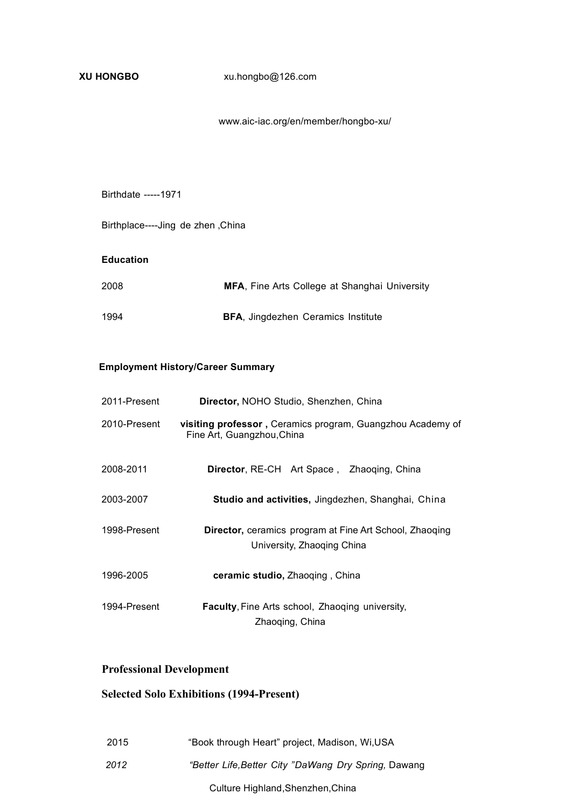www.aic-iac.org/en/member/hongbo-xu/

#### Birthdate -----1971

Birthplace----Jing de zhen ,China

#### **Education**

| 2008 | <b>MFA, Fine Arts College at Shanghai University</b> |
|------|------------------------------------------------------|
| 1994 | <b>BFA, Jingdezhen Ceramics Institute</b>            |

### **Employment History/Career Summary**

| 2011-Present | Director, NOHO Studio, Shenzhen, China                                                       |  |
|--------------|----------------------------------------------------------------------------------------------|--|
| 2010-Present | visiting professor, Ceramics program, Guangzhou Academy of<br>Fine Art, Guangzhou, China     |  |
| 2008-2011    | <b>Director, RE-CH</b> Art Space, Zhaoging, China                                            |  |
| 2003-2007    | Studio and activities, Jingdezhen, Shanghai, China                                           |  |
| 1998-Present | <b>Director,</b> ceramics program at Fine Art School, Zhaoging<br>University, Zhaoging China |  |
| 1996-2005    | ceramic studio, Zhaoging, China                                                              |  |
| 1994-Present | <b>Faculty, Fine Arts school, Zhaoging university,</b><br>Zhaoging, China                    |  |

## **Professional Development**

## **Selected Solo Exhibitions (1994-Present)**

| 2015 | "Book through Heart" project, Madison, Wi,USA        |
|------|------------------------------------------------------|
| 2012 | "Better Life, Better City "DaWang Dry Spring, Dawang |
|      | Culture Highland, Shenzhen, China                    |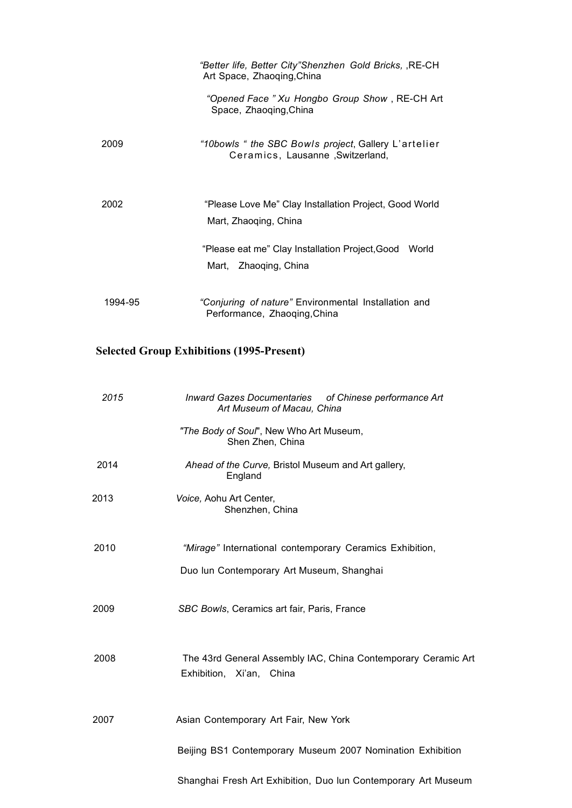|         | "Better life, Better City"Shenzhen Gold Bricks, , RE-CH<br>Art Space, Zhaoqing, China    |
|---------|------------------------------------------------------------------------------------------|
|         | "Opened Face " Xu Hongbo Group Show, RE-CH Art<br>Space, Zhaoqing, China                 |
| 2009    | "10bowls " the SBC Bowls project, Gallery L'artelier<br>Ceramics, Lausanne, Switzerland, |
| 2002    | "Please Love Me" Clay Installation Project, Good World<br>Mart, Zhaoqing, China          |
|         | "Please eat me" Clay Installation Project, Good World<br>Mart, Zhaoqing, China           |
| 1994-95 | "Conjuring of nature" Environmental Installation and<br>Performance, Zhaoqing, China     |

# **Selected Group Exhibitions (1995-Present)**

| 2015 | Inward Gazes Documentaries of Chinese performance Art<br>Art Museum of Macau, China       |  |
|------|-------------------------------------------------------------------------------------------|--|
|      | "The Body of Soul", New Who Art Museum,<br>Shen Zhen, China                               |  |
| 2014 | Ahead of the Curve, Bristol Museum and Art gallery,<br>England                            |  |
| 2013 | Voice, Aohu Art Center,<br>Shenzhen, China                                                |  |
| 2010 | "Mirage" International contemporary Ceramics Exhibition,                                  |  |
|      | Duo lun Contemporary Art Museum, Shanghai                                                 |  |
| 2009 | SBC Bowls, Ceramics art fair, Paris, France                                               |  |
| 2008 | The 43rd General Assembly IAC, China Contemporary Ceramic Art<br>Exhibition, Xi'an, China |  |
| 2007 | Asian Contemporary Art Fair, New York                                                     |  |
|      | Beijing BS1 Contemporary Museum 2007 Nomination Exhibition                                |  |
|      | Shanghai Fresh Art Exhibition, Duo lun Contemporary Art Museum                            |  |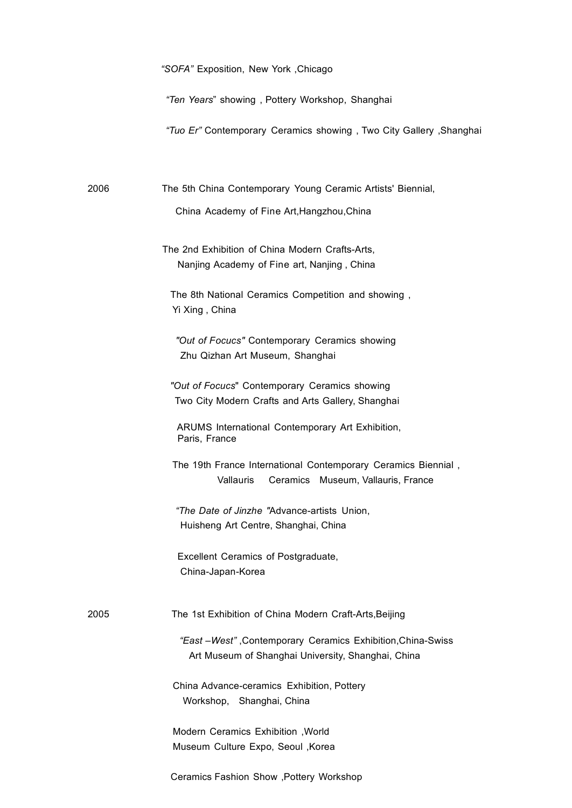*"Ten Years*" showing , Pottery Workshop, Shanghai

*"Tuo Er"* Contemporary Ceramics showing , Two City Gallery ,Shanghai

2006 The 5th China Contemporary Young Ceramic Artists' Biennial,

China Academy of Fine Art,Hangzhou,China

The 2nd Exhibition of China Modern Crafts-Arts, Nanjing Academy of Fine art, Nanjing , China

The 8th National Ceramics Competition and showing , Yi Xing , China

*"Out of Focucs"* Contemporary Ceramics showing Zhu Qizhan Art Museum, Shanghai

*"Out of Focucs*" Contemporary Ceramics showing Two City Modern Crafts and Arts Gallery, Shanghai

ARUMS International Contemporary Art Exhibition, Paris, France

The 19th France International Contemporary Ceramics Biennial , Vallauris Ceramics Museum, Vallauris, France

*"The Date of Jinzhe "*Advance-artists Union, Huisheng Art Centre, Shanghai, China

Excellent Ceramics of Postgraduate, China-Japan-Korea

2005 The 1st Exhibition of China Modern Craft-Arts,Beijing

*"East –West"* ,Contemporary Ceramics Exhibition,China-Swiss Art Museum of Shanghai University, Shanghai, China

China Advance-ceramics Exhibition, Pottery Workshop, Shanghai, China

Modern Ceramics Exhibition ,World Museum Culture Expo, Seoul ,Korea

Ceramics Fashion Show ,Pottery Workshop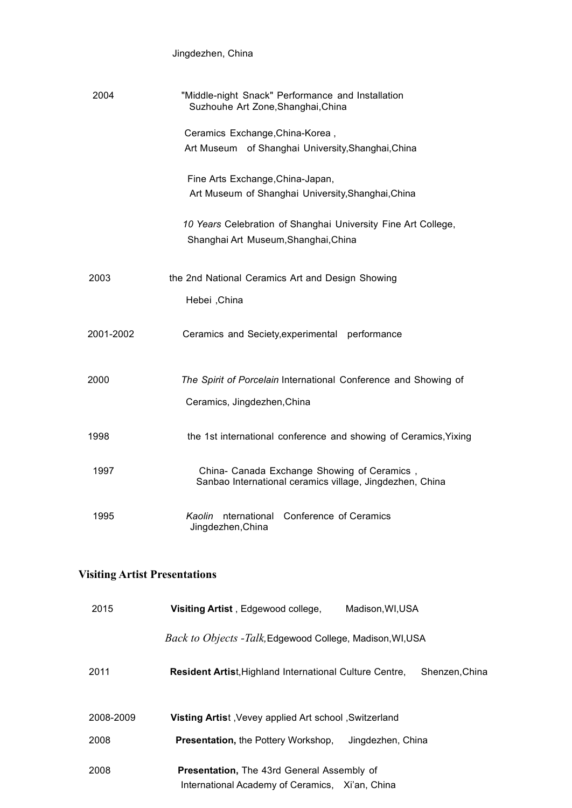| Jingdezhen, China |  |
|-------------------|--|
|-------------------|--|

| 2004      | "Middle-night Snack" Performance and Installation<br>Suzhouhe Art Zone, Shanghai, China                 |
|-----------|---------------------------------------------------------------------------------------------------------|
|           | Ceramics Exchange, China-Korea,<br>Art Museum of Shanghai University, Shanghai, China                   |
|           | Fine Arts Exchange, China-Japan,<br>Art Museum of Shanghai University, Shanghai, China                  |
|           | 10 Years Celebration of Shanghai University Fine Art College,<br>Shanghai Art Museum, Shanghai, China   |
| 2003      | the 2nd National Ceramics Art and Design Showing                                                        |
|           | Hebei , China                                                                                           |
| 2001-2002 | Ceramics and Seciety, experimental performance                                                          |
| 2000      | The Spirit of Porcelain International Conference and Showing of                                         |
|           | Ceramics, Jingdezhen, China                                                                             |
| 1998      | the 1st international conference and showing of Ceramics, Yixing                                        |
| 1997      | China- Canada Exchange Showing of Ceramics,<br>Sanbao International ceramics village, Jingdezhen, China |
| 1995      | Kaolin nternational Conference of Ceramics<br>Jingdezhen, China                                         |

# **Visiting Artist Presentations**

| 2015      | Visiting Artist, Edgewood college,<br>Madison, WI, USA                                               |
|-----------|------------------------------------------------------------------------------------------------------|
|           | <i>Back to Objects -Talk,</i> Edgewood College, Madison, WI, USA                                     |
| 2011      | Shenzen, China<br><b>Resident Artist, Highland International Culture Centre,</b>                     |
| 2008-2009 | Visting Artist, Vevey applied Art school, Switzerland                                                |
| 2008      | <b>Presentation, the Pottery Workshop,</b><br>Jingdezhen, China                                      |
| 2008      | <b>Presentation, The 43rd General Assembly of</b><br>International Academy of Ceramics, Xi'an, China |